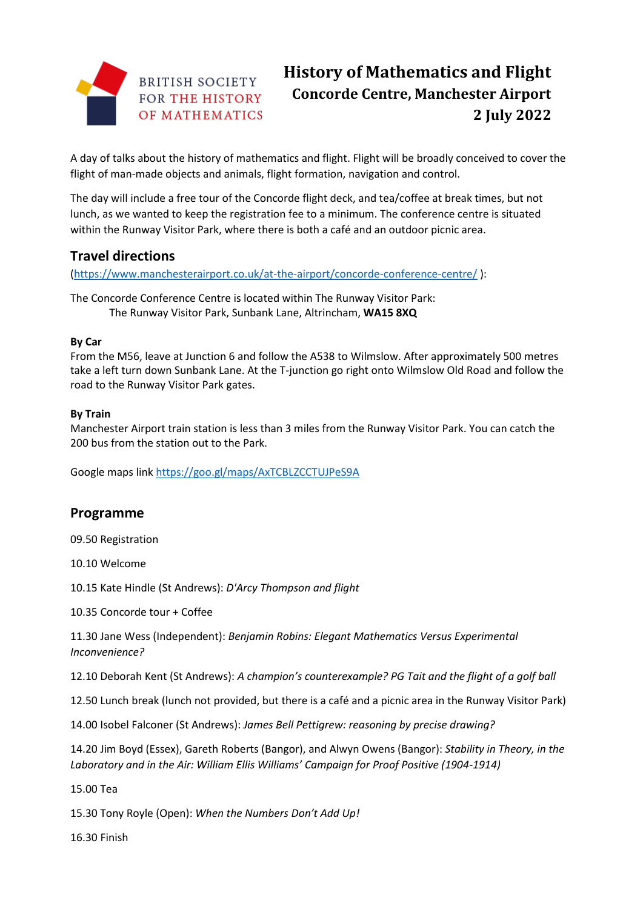

# **History of Mathematics and Flight Concorde Centre, Manchester Airport 2 July 2022**

A day of talks about the history of mathematics and flight. Flight will be broadly conceived to cover the flight of man-made objects and animals, flight formation, navigation and control.

The day will include a free tour of the Concorde flight deck, and tea/coffee at break times, but not lunch, as we wanted to keep the registration fee to a minimum. The conference centre is situated within the Runway Visitor Park, where there is both a café and an outdoor picnic area.

## **Travel directions**

[\(https://www.manchesterairport.co.uk/at-the-airport/concorde-conference-centre/](https://www.manchesterairport.co.uk/at-the-airport/concorde-conference-centre/) ):

The Concorde Conference Centre is located within The Runway Visitor Park: The Runway Visitor Park, Sunbank Lane, Altrincham, **WA15 8XQ**

#### **By Car**

From the M56, leave at Junction 6 and follow the A538 to Wilmslow. After approximately 500 metres take a left turn down Sunbank Lane. At the T-junction go right onto Wilmslow Old Road and follow the road to the Runway Visitor Park gates.

#### **By Train**

Manchester Airport train station is less than 3 miles from the Runway Visitor Park. You can catch the 200 bus from the station out to the Park.

Google maps link<https://goo.gl/maps/AxTCBLZCCTUJPeS9A>

## **Programme**

09.50 Registration

10.10 Welcome

10.15 Kate Hindle (St Andrews): *D'Arcy Thompson and flight*

10.35 Concorde tour + Coffee

11.30 Jane Wess (Independent): *Benjamin Robins: Elegant Mathematics Versus Experimental Inconvenience?*

12.10 Deborah Kent (St Andrews): *A champion's counterexample? PG Tait and the flight of a golf ball*

12.50 Lunch break (lunch not provided, but there is a café and a picnic area in the Runway Visitor Park)

14.00 Isobel Falconer (St Andrews): *James Bell Pettigrew: reasoning by precise drawing?*

14.20 Jim Boyd (Essex), Gareth Roberts (Bangor), and Alwyn Owens (Bangor): *Stability in Theory, in the Laboratory and in the Air: William Ellis Williams' Campaign for Proof Positive (1904-1914)*

15.00 Tea

15.30 Tony Royle (Open): *When the Numbers Don't Add Up!*

16.30 Finish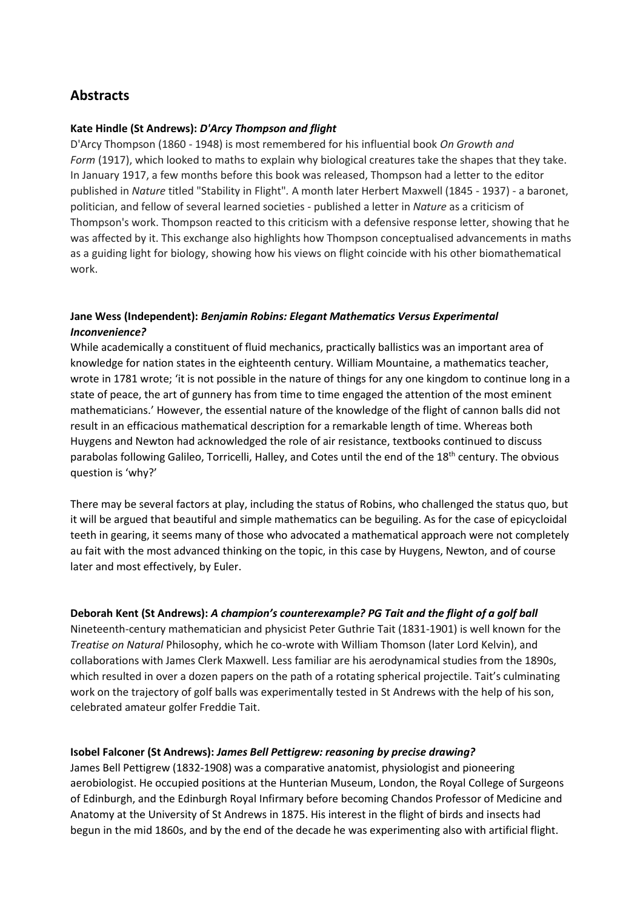## **Abstracts**

#### **Kate Hindle (St Andrews):** *D'Arcy Thompson and flight*

D'Arcy Thompson (1860 - 1948) is most remembered for his influential book *On Growth and Form* (1917), which looked to maths to explain why biological creatures take the shapes that they take. In January 1917, a few months before this book was released, Thompson had a letter to the editor published in *Nature* titled "Stability in Flight"*.* A month later Herbert Maxwell (1845 - 1937) - a baronet, politician, and fellow of several learned societies - published a letter in *Nature* as a criticism of Thompson's work. Thompson reacted to this criticism with a defensive response letter, showing that he was affected by it. This exchange also highlights how Thompson conceptualised advancements in maths as a guiding light for biology, showing how his views on flight coincide with his other biomathematical work.

#### **Jane Wess (Independent):** *Benjamin Robins: Elegant Mathematics Versus Experimental Inconvenience?*

While academically a constituent of fluid mechanics, practically ballistics was an important area of knowledge for nation states in the eighteenth century. William Mountaine, a mathematics teacher, wrote in 1781 wrote; 'it is not possible in the nature of things for any one kingdom to continue long in a state of peace, the art of gunnery has from time to time engaged the attention of the most eminent mathematicians.' However, the essential nature of the knowledge of the flight of cannon balls did not result in an efficacious mathematical description for a remarkable length of time. Whereas both Huygens and Newton had acknowledged the role of air resistance, textbooks continued to discuss parabolas following Galileo, Torricelli, Halley, and Cotes until the end of the 18<sup>th</sup> century. The obvious question is 'why?'

There may be several factors at play, including the status of Robins, who challenged the status quo, but it will be argued that beautiful and simple mathematics can be beguiling. As for the case of epicycloidal teeth in gearing, it seems many of those who advocated a mathematical approach were not completely au fait with the most advanced thinking on the topic, in this case by Huygens, Newton, and of course later and most effectively, by Euler.

#### **Deborah Kent (St Andrews):** *A champion's counterexample? PG Tait and the flight of a golf ball*

Nineteenth-century mathematician and physicist Peter Guthrie Tait (1831-1901) is well known for the *Treatise on Natural* Philosophy, which he co-wrote with William Thomson (later Lord Kelvin), and collaborations with James Clerk Maxwell. Less familiar are his aerodynamical studies from the 1890s, which resulted in over a dozen papers on the path of a rotating spherical projectile. Tait's culminating work on the trajectory of golf balls was experimentally tested in St Andrews with the help of his son, celebrated amateur golfer Freddie Tait.

#### **Isobel Falconer (St Andrews):** *James Bell Pettigrew: reasoning by precise drawing?*

James Bell Pettigrew (1832-1908) was a comparative anatomist, physiologist and pioneering aerobiologist. He occupied positions at the Hunterian Museum, London, the Royal College of Surgeons of Edinburgh, and the Edinburgh Royal Infirmary before becoming Chandos Professor of Medicine and Anatomy at the University of St Andrews in 1875. His interest in the flight of birds and insects had begun in the mid 1860s, and by the end of the decade he was experimenting also with artificial flight.